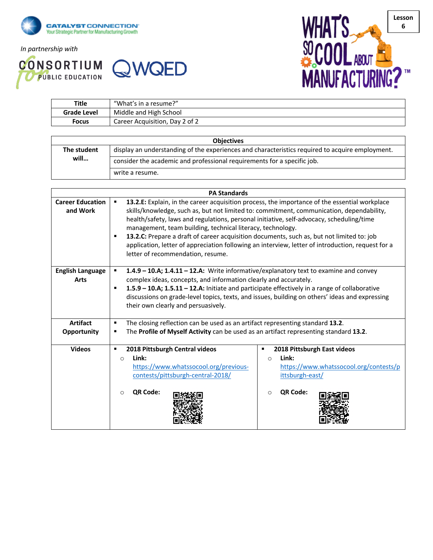

*In partnership with*

**CONSORTIUM QWQED** 



| Title              | "What's in a resume?"          |
|--------------------|--------------------------------|
| <b>Grade Level</b> | Middle and High School         |
| Focus              | Career Acquisition, Day 2 of 2 |

| <b>Objectives</b> |                                                                                                 |  |  |
|-------------------|-------------------------------------------------------------------------------------------------|--|--|
| The student       | display an understanding of the experiences and characteristics required to acquire employment. |  |  |
| will              | consider the academic and professional requirements for a specific job.                         |  |  |
|                   | write a resume.                                                                                 |  |  |

| <b>PA Standards</b>                    |                                                                                                                                                                                                                                                                                                                                                                                                                                                                                                                                                                                                 |                                                                                                                                           |  |  |
|----------------------------------------|-------------------------------------------------------------------------------------------------------------------------------------------------------------------------------------------------------------------------------------------------------------------------------------------------------------------------------------------------------------------------------------------------------------------------------------------------------------------------------------------------------------------------------------------------------------------------------------------------|-------------------------------------------------------------------------------------------------------------------------------------------|--|--|
| <b>Career Education</b><br>and Work    | 13.2.E: Explain, in the career acquisition process, the importance of the essential workplace<br>٠<br>skills/knowledge, such as, but not limited to: commitment, communication, dependability,<br>health/safety, laws and regulations, personal initiative, self-advocacy, scheduling/time<br>management, team building, technical literacy, technology.<br>13.2.C: Prepare a draft of career acquisition documents, such as, but not limited to: job<br>application, letter of appreciation following an interview, letter of introduction, request for a<br>letter of recommendation, resume. |                                                                                                                                           |  |  |
| <b>English Language</b><br><b>Arts</b> | 1.4.9 - 10.A; 1.4.11 - 12.A: Write informative/explanatory text to examine and convey<br>$\blacksquare$<br>complex ideas, concepts, and information clearly and accurately.<br>1.5.9 - 10.A; 1.5.11 - 12.A: Initiate and participate effectively in a range of collaborative<br>٠<br>discussions on grade-level topics, texts, and issues, building on others' ideas and expressing<br>their own clearly and persuasively.                                                                                                                                                                      |                                                                                                                                           |  |  |
| <b>Artifact</b><br><b>Opportunity</b>  | The closing reflection can be used as an artifact representing standard 13.2.<br>٠<br>The Profile of Myself Activity can be used as an artifact representing standard 13.2.                                                                                                                                                                                                                                                                                                                                                                                                                     |                                                                                                                                           |  |  |
| <b>Videos</b>                          | 2018 Pittsburgh Central videos<br>Link:<br>$\circ$<br>https://www.whatssocool.org/previous-<br>contests/pittsburgh-central-2018/<br>QR Code:<br>$\Omega$                                                                                                                                                                                                                                                                                                                                                                                                                                        | 2018 Pittsburgh East videos<br>٠<br>Link:<br>$\circ$<br>https://www.whatssocool.org/contests/p<br>ittsburgh-east/<br>QR Code:<br>$\Omega$ |  |  |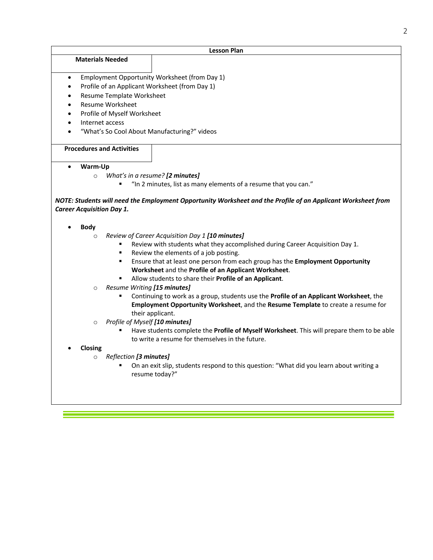| <b>Lesson Plan</b>                                                                                                    |                                                |  |  |  |  |
|-----------------------------------------------------------------------------------------------------------------------|------------------------------------------------|--|--|--|--|
| <b>Materials Needed</b>                                                                                               |                                                |  |  |  |  |
|                                                                                                                       |                                                |  |  |  |  |
| Employment Opportunity Worksheet (from Day 1)<br>$\bullet$                                                            |                                                |  |  |  |  |
| $\bullet$                                                                                                             | Profile of an Applicant Worksheet (from Day 1) |  |  |  |  |
| Resume Template Worksheet<br>$\bullet$                                                                                |                                                |  |  |  |  |
| Resume Worksheet<br>$\bullet$                                                                                         |                                                |  |  |  |  |
| Profile of Myself Worksheet<br>$\bullet$                                                                              |                                                |  |  |  |  |
| Internet access<br>$\bullet$                                                                                          |                                                |  |  |  |  |
| "What's So Cool About Manufacturing?" videos                                                                          |                                                |  |  |  |  |
| <b>Procedures and Activities</b>                                                                                      |                                                |  |  |  |  |
|                                                                                                                       |                                                |  |  |  |  |
| Warm-Up<br>$\bullet$                                                                                                  |                                                |  |  |  |  |
| What's in a resume? [2 minutes]<br>$\circ$                                                                            |                                                |  |  |  |  |
| "In 2 minutes, list as many elements of a resume that you can."                                                       |                                                |  |  |  |  |
|                                                                                                                       |                                                |  |  |  |  |
| NOTE: Students will need the Employment Opportunity Worksheet and the Profile of an Applicant Worksheet from          |                                                |  |  |  |  |
| <b>Career Acquisition Day 1.</b>                                                                                      |                                                |  |  |  |  |
|                                                                                                                       |                                                |  |  |  |  |
| <b>Body</b>                                                                                                           |                                                |  |  |  |  |
| Review of Career Acquisition Day 1 [10 minutes]<br>$\circ$                                                            |                                                |  |  |  |  |
| Review with students what they accomplished during Career Acquisition Day 1.<br>Review the elements of a job posting. |                                                |  |  |  |  |
| Ensure that at least one person from each group has the Employment Opportunity                                        |                                                |  |  |  |  |
| Worksheet and the Profile of an Applicant Worksheet.                                                                  |                                                |  |  |  |  |
| Allow students to share their Profile of an Applicant.                                                                |                                                |  |  |  |  |
| Resume Writing [15 minutes]<br>$\circ$                                                                                |                                                |  |  |  |  |
| Continuing to work as a group, students use the Profile of an Applicant Worksheet, the<br>٠                           |                                                |  |  |  |  |
| Employment Opportunity Worksheet, and the Resume Template to create a resume for                                      |                                                |  |  |  |  |
| their applicant.                                                                                                      |                                                |  |  |  |  |
| Profile of Myself [10 minutes]<br>$\circ$                                                                             |                                                |  |  |  |  |
| Have students complete the Profile of Myself Worksheet. This will prepare them to be able                             |                                                |  |  |  |  |
| to write a resume for themselves in the future.                                                                       |                                                |  |  |  |  |
| Closing                                                                                                               |                                                |  |  |  |  |
| Reflection [3 minutes]<br>$\circ$                                                                                     |                                                |  |  |  |  |
| On an exit slip, students respond to this question: "What did you learn about writing a                               |                                                |  |  |  |  |
| resume today?"                                                                                                        |                                                |  |  |  |  |
|                                                                                                                       |                                                |  |  |  |  |
|                                                                                                                       |                                                |  |  |  |  |

<u> Andrews American State (1989), de la propietat de la propietat de la propietat de la propietat de la propieta</u>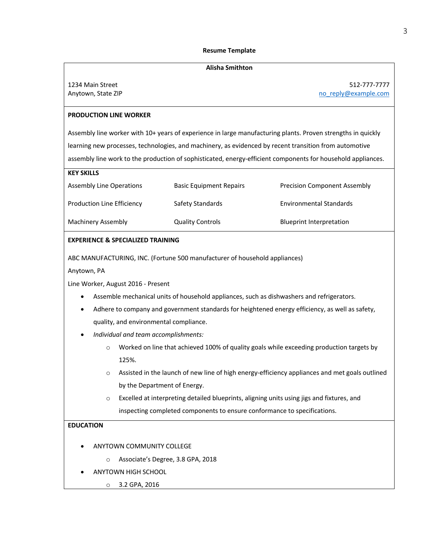#### **Resume Template**

#### **Alisha Smithton**

| 1234 Main Street   |  |  |
|--------------------|--|--|
| Anytown, State ZIP |  |  |

1234 Main Street 512-777-7777 no\_reply@example.com

### **PRODUCTION LINE WORKER**

Assembly line worker with 10+ years of experience in large manufacturing plants. Proven strengths in quickly learning new processes, technologies, and machinery, as evidenced by recent transition from automotive assembly line work to the production of sophisticated, energy-efficient components for household appliances.

| <b>KEY SKILLS</b>          |                                |                                     |
|----------------------------|--------------------------------|-------------------------------------|
| Assembly Line Operations   | <b>Basic Equipment Repairs</b> | <b>Precision Component Assembly</b> |
| Production Line Efficiency | Safety Standards               | <b>Environmental Standards</b>      |
| Machinery Assembly         | <b>Quality Controls</b>        | <b>Blueprint Interpretation</b>     |

### **EXPERIENCE & SPECIALIZED TRAINING**

ABC MANUFACTURING, INC. (Fortune 500 manufacturer of household appliances)

Anytown, PA

Line Worker, August 2016 - Present

- Assemble mechanical units of household appliances, such as dishwashers and refrigerators.
- Adhere to company and government standards for heightened energy efficiency, as well as safety, quality, and environmental compliance.
- *Individual and team accomplishments:*
	- $\circ$  Worked on line that achieved 100% of quality goals while exceeding production targets by 125%.
	- o Assisted in the launch of new line of high energy-efficiency appliances and met goals outlined by the Department of Energy.
	- o Excelled at interpreting detailed blueprints, aligning units using jigs and fixtures, and inspecting completed components to ensure conformance to specifications.

## **EDUCATION**

- ANYTOWN COMMUNITY COLLEGE
	- o Associate's Degree, 3.8 GPA, 2018
- ANYTOWN HIGH SCHOOL
	- o 3.2 GPA, 2016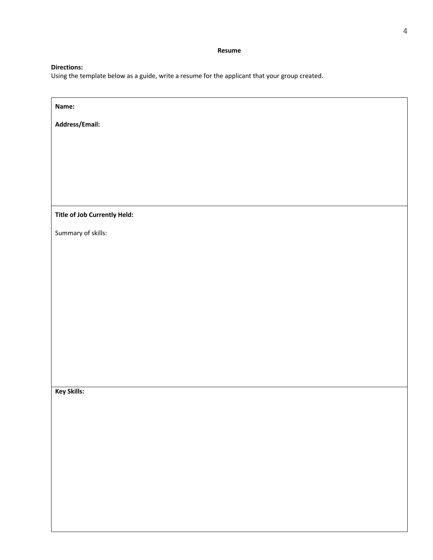**Resume** 

## **Directions:**

Using the template below as a guide, write a resume for the applicant that your group created.

| Name:                        |
|------------------------------|
| Address/Email:               |
|                              |
|                              |
|                              |
|                              |
| Title of Job Currently Held: |
| Summary of skills:           |
|                              |
|                              |
|                              |
|                              |
|                              |
|                              |
|                              |
|                              |
| Key Skills:                  |
|                              |
|                              |
|                              |
|                              |
|                              |
|                              |
|                              |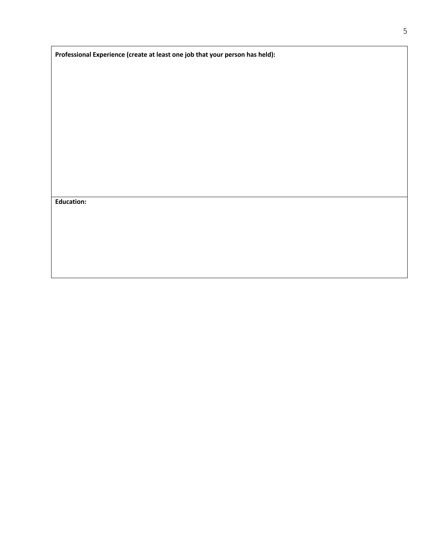|  |  |  | Professional Experience (create at least one job that your person has held): |
|--|--|--|------------------------------------------------------------------------------|
|--|--|--|------------------------------------------------------------------------------|

**Education:**